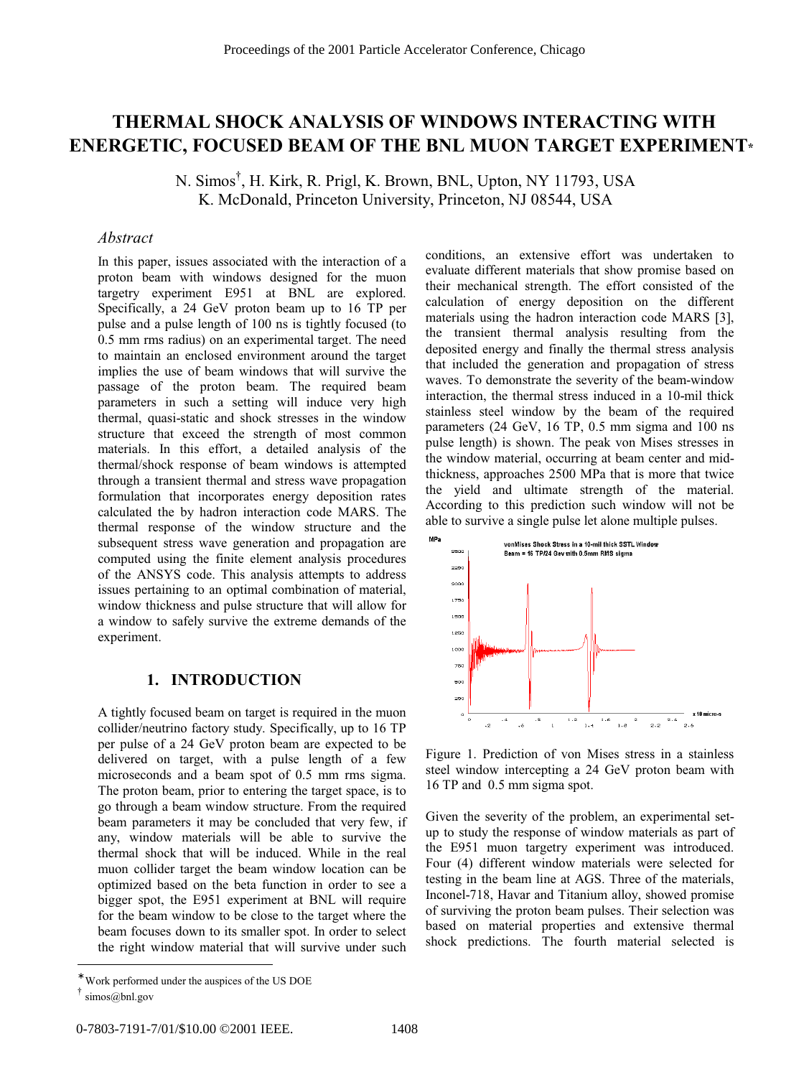# **THERMAL SHOCK ANALYSIS OF WINDOWS INTERACTING WITH ENERGETIC, FOCUSED BEAM OF THE BNL MUON TARGET EXPERIMENT\***

N. Simos† , H. Kirk, R. Prigl, K. Brown, BNL, Upton, NY 11793, USA K. McDonald, Princeton University, Princeton, NJ 08544, USA

# *Abstract*

In this paper, issues associated with the interaction of a proton beam with windows designed for the muon targetry experiment E951 at BNL are explored. Specifically, a 24 GeV proton beam up to 16 TP per pulse and a pulse length of 100 ns is tightly focused (to 0.5 mm rms radius) on an experimental target. The need to maintain an enclosed environment around the target implies the use of beam windows that will survive the passage of the proton beam. The required beam parameters in such a setting will induce very high thermal, quasi-static and shock stresses in the window structure that exceed the strength of most common materials. In this effort, a detailed analysis of the thermal/shock response of beam windows is attempted through a transient thermal and stress wave propagation formulation that incorporates energy deposition rates calculated the by hadron interaction code MARS. The thermal response of the window structure and the subsequent stress wave generation and propagation are computed using the finite element analysis procedures of the ANSYS code. This analysis attempts to address issues pertaining to an optimal combination of material, window thickness and pulse structure that will allow for a window to safely survive the extreme demands of the experiment.

# **1. INTRODUCTION**

A tightly focused beam on target is required in the muon collider/neutrino factory study. Specifically, up to 16 TP per pulse of a 24 GeV proton beam are expected to be delivered on target, with a pulse length of a few microseconds and a beam spot of 0.5 mm rms sigma. The proton beam, prior to entering the target space, is to go through a beam window structure. From the required beam parameters it may be concluded that very few, if any, window materials will be able to survive the thermal shock that will be induced. While in the real muon collider target the beam window location can be optimized based on the beta function in order to see a bigger spot, the E951 experiment at BNL will require for the beam window to be close to the target where the beam focuses down to its smaller spot. In order to select the right window material that will survive under such conditions, an extensive effort was undertaken to evaluate different materials that show promise based on their mechanical strength. The effort consisted of the calculation of energy deposition on the different materials using the hadron interaction code MARS [3], the transient thermal analysis resulting from the deposited energy and finally the thermal stress analysis that included the generation and propagation of stress waves. To demonstrate the severity of the beam-window interaction, the thermal stress induced in a 10-mil thick stainless steel window by the beam of the required parameters (24 GeV, 16 TP, 0.5 mm sigma and 100 ns pulse length) is shown. The peak von Mises stresses in the window material, occurring at beam center and midthickness, approaches 2500 MPa that is more that twice the yield and ultimate strength of the material. According to this prediction such window will not be able to survive a single pulse let alone multiple pulses.



Figure 1. Prediction of von Mises stress in a stainless steel window intercepting a 24 GeV proton beam with 16 TP and 0.5 mm sigma spot.

Given the severity of the problem, an experimental setup to study the response of window materials as part of the E951 muon targetry experiment was introduced. Four (4) different window materials were selected for testing in the beam line at AGS. Three of the materials, Inconel-718, Havar and Titanium alloy, showed promise of surviving the proton beam pulses. Their selection was based on material properties and extensive thermal shock predictions. The fourth material selected is

Work performed under the auspices of the US DOE

simos@bnl.gov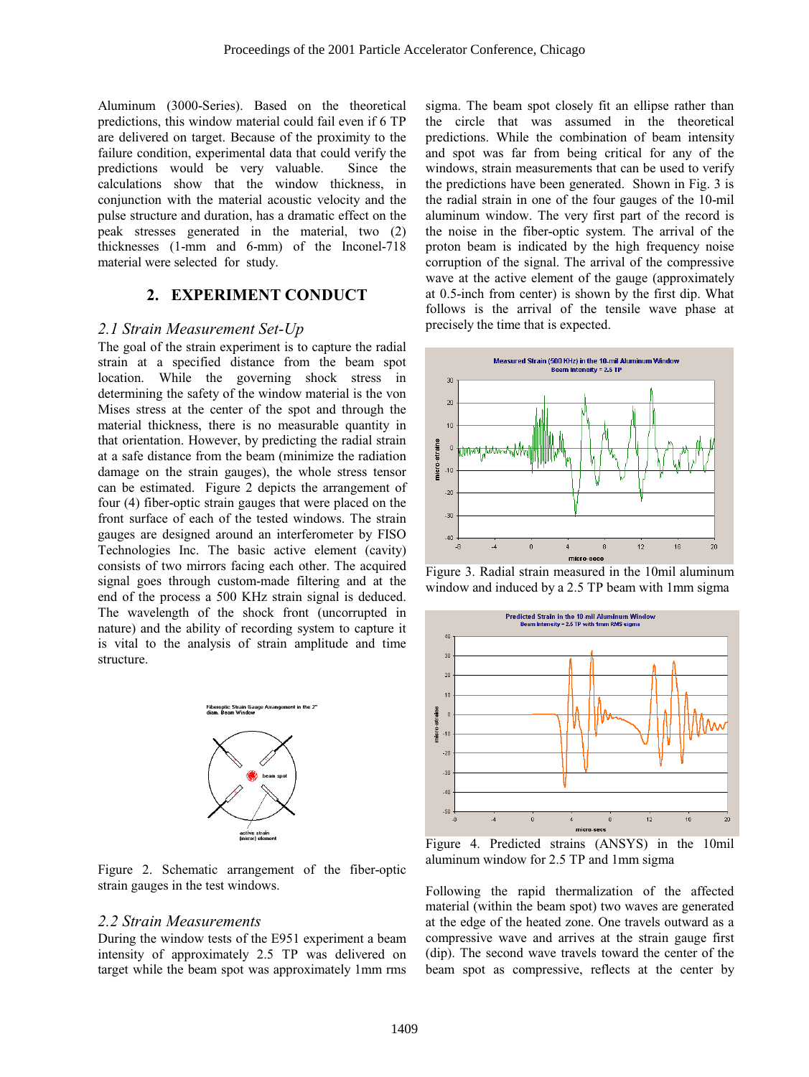Aluminum (3000-Series). Based on the theoretical predictions, this window material could fail even if 6 TP are delivered on target. Because of the proximity to the failure condition, experimental data that could verify the predictions would be very valuable. Since the calculations show that the window thickness, in conjunction with the material acoustic velocity and the pulse structure and duration, has a dramatic effect on the peak stresses generated in the material, two (2) thicknesses (1-mm and 6-mm) of the Inconel-718 material were selected for study.

## **2. EXPERIMENT CONDUCT**

#### *2.1 Strain Measurement Set-Up*

The goal of the strain experiment is to capture the radial strain at a specified distance from the beam spot location. While the governing shock stress in determining the safety of the window material is the von Mises stress at the center of the spot and through the material thickness, there is no measurable quantity in that orientation. However, by predicting the radial strain at a safe distance from the beam (minimize the radiation damage on the strain gauges), the whole stress tensor can be estimated. Figure 2 depicts the arrangement of four (4) fiber-optic strain gauges that were placed on the front surface of each of the tested windows. The strain gauges are designed around an interferometer by FISO Technologies Inc. The basic active element (cavity) consists of two mirrors facing each other. The acquired signal goes through custom-made filtering and at the end of the process a 500 KHz strain signal is deduced. The wavelength of the shock front (uncorrupted in nature) and the ability of recording system to capture it is vital to the analysis of strain amplitude and time structure.



Figure 2. Schematic arrangement of the fiber-optic strain gauges in the test windows.

#### *2.2 Strain Measurements*

During the window tests of the E951 experiment a beam intensity of approximately 2.5 TP was delivered on target while the beam spot was approximately 1mm rms

sigma. The beam spot closely fit an ellipse rather than the circle that was assumed in the theoretical predictions. While the combination of beam intensity and spot was far from being critical for any of the windows, strain measurements that can be used to verify the predictions have been generated. Shown in Fig. 3 is the radial strain in one of the four gauges of the 10-mil aluminum window. The very first part of the record is the noise in the fiber-optic system. The arrival of the proton beam is indicated by the high frequency noise corruption of the signal. The arrival of the compressive wave at the active element of the gauge (approximately at 0.5-inch from center) is shown by the first dip. What follows is the arrival of the tensile wave phase at precisely the time that is expected.



Figure 3. Radial strain measured in the 10mil aluminum window and induced by a 2.5 TP beam with 1mm sigma



Figure 4. Predicted strains (ANSYS) in the 10mil aluminum window for 2.5 TP and 1mm sigma

Following the rapid thermalization of the affected material (within the beam spot) two waves are generated at the edge of the heated zone. One travels outward as a compressive wave and arrives at the strain gauge first (dip). The second wave travels toward the center of the beam spot as compressive, reflects at the center by